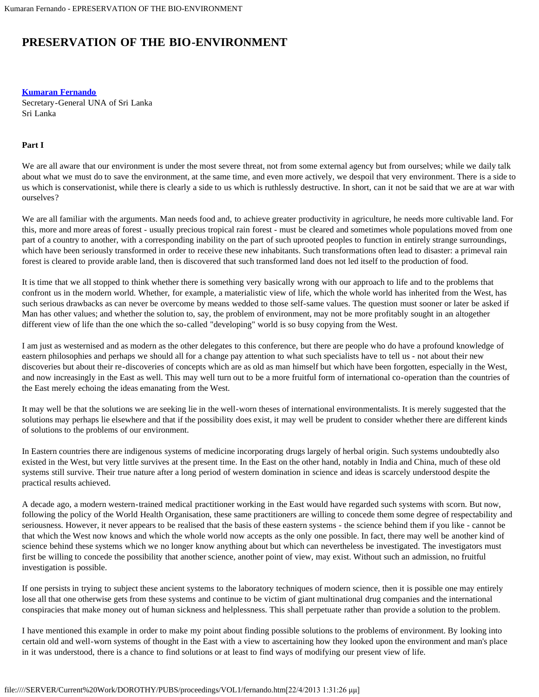## **PRESERVATION OF THE BIO-ENVIRONMENT**

**[Kumaran Fernando](#page-2-0)**

Secretary-General UNA of Sri Lanka Sri Lanka

## **Part I**

We are all aware that our environment is under the most severe threat, not from some external agency but from ourselves; while we daily talk about what we must do to save the environment, at the same time, and even more actively, we despoil that very environment. There is a side to us which is conservationist, while there is clearly a side to us which is ruthlessly destructive. In short, can it not be said that we are at war with ourselves?

We are all familiar with the arguments. Man needs food and, to achieve greater productivity in agriculture, he needs more cultivable land. For this, more and more areas of forest - usually precious tropical rain forest - must be cleared and sometimes whole populations moved from one part of a country to another, with a corresponding inability on the part of such uprooted peoples to function in entirely strange surroundings, which have been seriously transformed in order to receive these new inhabitants. Such transformations often lead to disaster: a primeval rain forest is cleared to provide arable land, then is discovered that such transformed land does not led itself to the production of food.

It is time that we all stopped to think whether there is something very basically wrong with our approach to life and to the problems that confront us in the modern world. Whether, for example, a materialistic view of life, which the whole world has inherited from the West, has such serious drawbacks as can never be overcome by means wedded to those self-same values. The question must sooner or later be asked if Man has other values; and whether the solution to, say, the problem of environment, may not be more profitably sought in an altogether different view of life than the one which the so-called "developing" world is so busy copying from the West.

I am just as westernised and as modern as the other delegates to this conference, but there are people who do have a profound knowledge of eastern philosophies and perhaps we should all for a change pay attention to what such specialists have to tell us - not about their new discoveries but about their re-discoveries of concepts which are as old as man himself but which have been forgotten, especially in the West, and now increasingly in the East as well. This may well turn out to be a more fruitful form of international co-operation than the countries of the East merely echoing the ideas emanating from the West.

It may well be that the solutions we are seeking lie in the well-worn theses of international environmentalists. It is merely suggested that the solutions may perhaps lie elsewhere and that if the possibility does exist, it may well be prudent to consider whether there are different kinds of solutions to the problems of our environment.

In Eastern countries there are indigenous systems of medicine incorporating drugs largely of herbal origin. Such systems undoubtedly also existed in the West, but very little survives at the present time. In the East on the other hand, notably in India and China, much of these old systems still survive. Their true nature after a long period of western domination in science and ideas is scarcely understood despite the practical results achieved.

A decade ago, a modern western-trained medical practitioner working in the East would have regarded such systems with scorn. But now, following the policy of the World Health Organisation, these same practitioners are willing to concede them some degree of respectability and seriousness. However, it never appears to be realised that the basis of these eastern systems - the science behind them if you like - cannot be that which the West now knows and which the whole world now accepts as the only one possible. In fact, there may well be another kind of science behind these systems which we no longer know anything about but which can nevertheless be investigated. The investigators must first be willing to concede the possibility that another science, another point of view, may exist. Without such an admission, no fruitful investigation is possible.

If one persists in trying to subject these ancient systems to the laboratory techniques of modern science, then it is possible one may entirely lose all that one otherwise gets from these systems and continue to be victim of giant multinational drug companies and the international conspiracies that make money out of human sickness and helplessness. This shall perpetuate rather than provide a solution to the problem.

I have mentioned this example in order to make my point about finding possible solutions to the problems of environment. By looking into certain old and well-worn systems of thought in the East with a view to ascertaining how they looked upon the environment and man's place in it was understood, there is a chance to find solutions or at least to find ways of modifying our present view of life.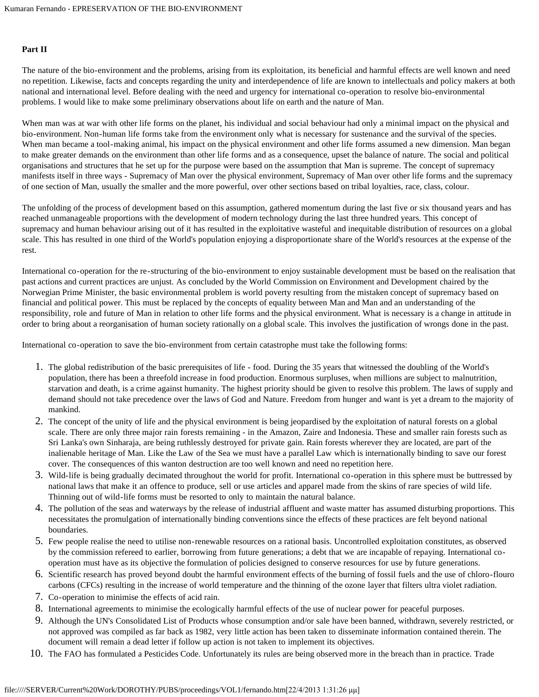## **Part II**

The nature of the bio-environment and the problems, arising from its exploitation, its beneficial and harmful effects are well known and need no repetition. Likewise, facts and concepts regarding the unity and interdependence of life are known to intellectuals and policy makers at both national and international level. Before dealing with the need and urgency for international co-operation to resolve bio-environmental problems. I would like to make some preliminary observations about life on earth and the nature of Man.

When man was at war with other life forms on the planet, his individual and social behaviour had only a minimal impact on the physical and bio-environment. Non-human life forms take from the environment only what is necessary for sustenance and the survival of the species. When man became a tool-making animal, his impact on the physical environment and other life forms assumed a new dimension. Man began to make greater demands on the environment than other life forms and as a consequence, upset the balance of nature. The social and political organisations and structures that he set up for the purpose were based on the assumption that Man is supreme. The concept of supremacy manifests itself in three ways - Supremacy of Man over the physical environment, Supremacy of Man over other life forms and the supremacy of one section of Man, usually the smaller and the more powerful, over other sections based on tribal loyalties, race, class, colour.

The unfolding of the process of development based on this assumption, gathered momentum during the last five or six thousand years and has reached unmanageable proportions with the development of modern technology during the last three hundred years. This concept of supremacy and human behaviour arising out of it has resulted in the exploitative wasteful and inequitable distribution of resources on a global scale. This has resulted in one third of the World's population enjoying a disproportionate share of the World's resources at the expense of the rest.

International co-operation for the re-structuring of the bio-environment to enjoy sustainable development must be based on the realisation that past actions and current practices are unjust. As concluded by the World Commission on Environment and Development chaired by the Norwegian Prime Minister, the basic environmental problem is world poverty resulting from the mistaken concept of supremacy based on financial and political power. This must be replaced by the concepts of equality between Man and Man and an understanding of the responsibility, role and future of Man in relation to other life forms and the physical environment. What is necessary is a change in attitude in order to bring about a reorganisation of human society rationally on a global scale. This involves the justification of wrongs done in the past.

International co-operation to save the bio-environment from certain catastrophe must take the following forms:

- 1. The global redistribution of the basic prerequisites of life food. During the 35 years that witnessed the doubling of the World's population, there has been a threefold increase in food production. Enormous surpluses, when millions are subject to malnutrition, starvation and death, is a crime against humanity. The highest priority should be given to resolve this problem. The laws of supply and demand should not take precedence over the laws of God and Nature. Freedom from hunger and want is yet a dream to the majority of mankind.
- 2. The concept of the unity of life and the physical environment is being jeopardised by the exploitation of natural forests on a global scale. There are only three major rain forests remaining - in the Amazon, Zaire and Indonesia. These and smaller rain forests such as Sri Lanka's own Sinharaja, are being ruthlessly destroyed for private gain. Rain forests wherever they are located, are part of the inalienable heritage of Man. Like the Law of the Sea we must have a parallel Law which is internationally binding to save our forest cover. The consequences of this wanton destruction are too well known and need no repetition here.
- 3. Wild-life is being gradually decimated throughout the world for profit. International co-operation in this sphere must be buttressed by national laws that make it an offence to produce, sell or use articles and apparel made from the skins of rare species of wild life. Thinning out of wild-life forms must be resorted to only to maintain the natural balance.
- 4. The pollution of the seas and waterways by the release of industrial affluent and waste matter has assumed disturbing proportions. This necessitates the promulgation of internationally binding conventions since the effects of these practices are felt beyond national boundaries.
- 5. Few people realise the need to utilise non-renewable resources on a rational basis. Uncontrolled exploitation constitutes, as observed by the commission refereed to earlier, borrowing from future generations; a debt that we are incapable of repaying. International cooperation must have as its objective the formulation of policies designed to conserve resources for use by future generations.
- 6. Scientific research has proved beyond doubt the harmful environment effects of the burning of fossil fuels and the use of chloro-flouro carbons (CFCs) resulting in the increase of world temperature and the thinning of the ozone layer that filters ultra violet radiation.
- 7. Co-operation to minimise the effects of acid rain.
- 8. International agreements to minimise the ecologically harmful effects of the use of nuclear power for peaceful purposes.
- 9. Although the UN's Consolidated List of Products whose consumption and/or sale have been banned, withdrawn, severely restricted, or not approved was compiled as far back as 1982, very little action has been taken to disseminate information contained therein. The document will remain a dead letter if follow up action is not taken to implement its objectives.
- 10. The FAO has formulated a Pesticides Code. Unfortunately its rules are being observed more in the breach than in practice. Trade